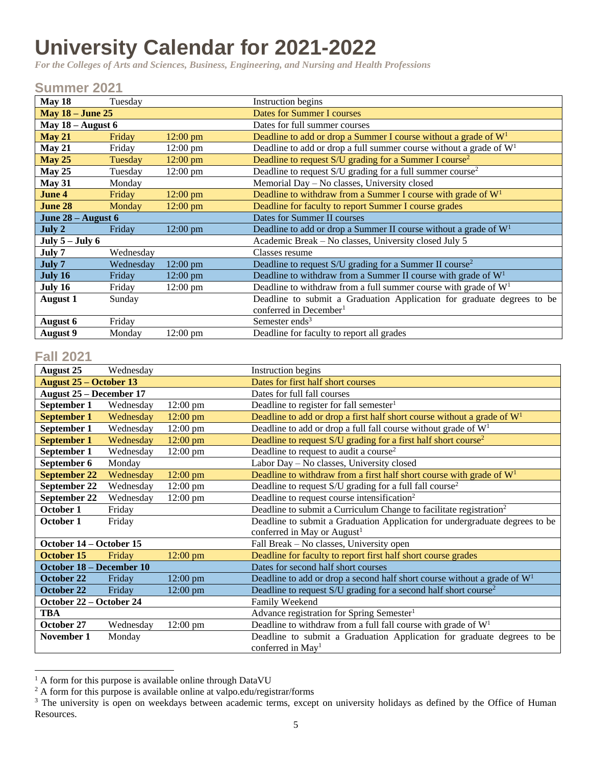## **University Calendar for 2021-2022**

*For the Colleges of Arts and Sciences, Business, Engineering, and Nursing and Health Professions*

## **Summer 2021**

| May 18                  | Tuesday   |                    | Instruction begins                                                      |
|-------------------------|-----------|--------------------|-------------------------------------------------------------------------|
| <b>May 18 - June 25</b> |           |                    | Dates for Summer I courses                                              |
| May $18 -$ August 6     |           |                    | Dates for full summer courses                                           |
| May 21                  | Friday    | $12:00 \text{ pm}$ | Deadline to add or drop a Summer I course without a grade of $W1$       |
| May 21                  | Friday    | $12:00 \text{ pm}$ | Deadline to add or drop a full summer course without a grade of $W1$    |
| <b>May 25</b>           | Tuesday   | $12:00$ pm         | Deadline to request $S/U$ grading for a Summer I course <sup>2</sup>    |
| May $25$                | Tuesday   | $12:00 \text{ pm}$ | Deadline to request $S/U$ grading for a full summer course <sup>2</sup> |
| <b>May 31</b>           | Monday    |                    | Memorial Day - No classes, University closed                            |
| June 4                  | Friday    | $12:00 \text{ pm}$ | Deadline to withdraw from a Summer I course with grade of $W1$          |
| June 28                 | Monday    | $12:00 \text{ pm}$ | Deadline for faculty to report Summer I course grades                   |
| June 28 – August 6      |           |                    | Dates for Summer II courses                                             |
| July 2                  | Friday    | 12:00 pm           | Deadline to add or drop a Summer II course without a grade of $W1$      |
| July $5 -$ July $6$     |           |                    | Academic Break – No classes, University closed July 5                   |
| July 7                  | Wednesday |                    | Classes resume                                                          |
| July 7                  | Wednesday | 12:00 pm           | Deadline to request S/U grading for a Summer II course <sup>2</sup>     |
| July 16                 | Friday    | $12:00 \text{ pm}$ | Deadline to withdraw from a Summer II course with grade of $W1$         |
| July 16                 | Friday    | $12:00 \text{ pm}$ | Deadline to withdraw from a full summer course with grade of $W1$       |
| <b>August 1</b>         | Sunday    |                    | Deadline to submit a Graduation Application for graduate degrees to be  |
|                         |           |                    | conferred in December <sup>1</sup>                                      |
| August 6                | Friday    |                    | Semester ends <sup>3</sup>                                              |
| <b>August</b> 9         | Monday    | $12:00 \text{ pm}$ | Deadline for faculty to report all grades                               |

## **Fall 2021**

 $\overline{a}$ 

| <b>August 25</b>               | Wednesday |                    | Instruction begins                                                             |
|--------------------------------|-----------|--------------------|--------------------------------------------------------------------------------|
| <b>August 25 – October 13</b>  |           |                    | Dates for first half short courses                                             |
| <b>August 25 – December 17</b> |           |                    | Dates for full fall courses                                                    |
| September 1                    | Wednesday | $12:00 \text{ pm}$ | Deadline to register for fall semester <sup>1</sup>                            |
| <b>September 1</b>             | Wednesday | $12:00$ pm         | Deadline to add or drop a first half short course without a grade of $W1$      |
| September 1                    | Wednesday | $12:00 \text{ pm}$ | Deadline to add or drop a full fall course without grade of $W1$               |
| <b>September 1</b>             | Wednesday | 12:00 pm           | Deadline to request S/U grading for a first half short course <sup>2</sup>     |
| September 1                    | Wednesday | $12:00 \text{ pm}$ | Deadline to request to audit a course <sup>2</sup>                             |
| September 6                    | Monday    |                    | Labor Day - No classes, University closed                                      |
| <b>September 22</b>            | Wednesday | $12:00$ pm         | Deadline to withdraw from a first half short course with grade of $W1$         |
| September 22                   | Wednesday | 12:00 pm           | Deadline to request S/U grading for a full fall course <sup>2</sup>            |
| September 22                   | Wednesday | $12:00 \text{ pm}$ | Deadline to request course intensification <sup>2</sup>                        |
| October 1                      | Friday    |                    | Deadline to submit a Curriculum Change to facilitate registration <sup>2</sup> |
| October 1                      | Friday    |                    | Deadline to submit a Graduation Application for undergraduate degrees to be    |
|                                |           |                    | conferred in May or August <sup>1</sup>                                        |
| October 14 – October 15        |           |                    | Fall Break - No classes, University open                                       |
| <b>October 15</b>              | Friday    | $12:00$ pm         | Deadline for faculty to report first half short course grades                  |
| October 18 - December 10       |           |                    | Dates for second half short courses                                            |
| October 22                     | Friday    | 12:00 pm           | Deadline to add or drop a second half short course without a grade of $W1$     |
| October 22                     | Friday    | 12:00 pm           | Deadline to request S/U grading for a second half short course <sup>2</sup>    |
| October 22 – October 24        |           |                    | Family Weekend                                                                 |
| TBA                            |           |                    | Advance registration for Spring Semester <sup>1</sup>                          |
| October 27                     | Wednesday | 12:00 pm           | Deadline to withdraw from a full fall course with grade of $W1$                |
| November 1                     | Monday    |                    | Deadline to submit a Graduation Application for graduate degrees to be         |
|                                |           |                    | conferred in May <sup>1</sup>                                                  |

 $<sup>1</sup>$  A form for this purpose is available online through DataVU</sup>

 $2A$  form for this purpose is available online at valpo.edu/registrar/forms

<sup>&</sup>lt;sup>3</sup> The university is open on weekdays between academic terms, except on university holidays as defined by the Office of Human Resources.